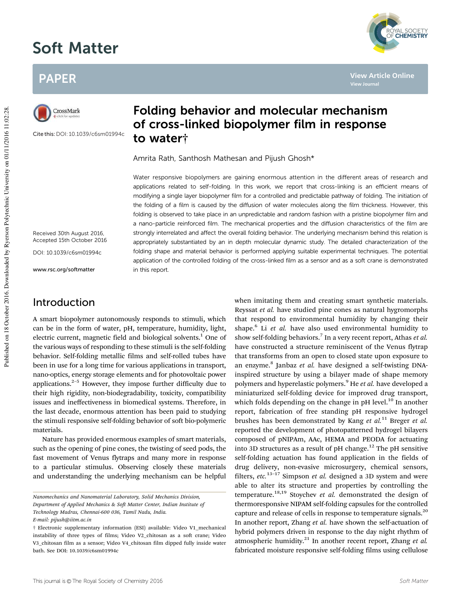# Soft Matter



**View Article Online**

**View Journal**

## PAPER



Cite this:DOI: 10.1039/c6sm01994c

### Folding behavior and molecular mechanism of cross-linked biopolymer film in response to water†

Amrita Rath, Santhosh Mathesan and Pijush Ghosh\*

Water responsive biopolymers are gaining enormous attention in the different areas of research and applications related to self-folding. In this work, we report that cross-linking is an efficient means of modifying a single layer biopolymer film for a controlled and predictable pathway of folding. The initiation of the folding of a film is caused by the diffusion of water molecules along the film thickness. However, this folding is observed to take place in an unpredictable and random fashion with a pristine biopolymer film and a nano-particle reinforced film. The mechanical properties and the diffusion characteristics of the film are strongly interrelated and affect the overall folding behavior. The underlying mechanism behind this relation is appropriately substantiated by an in depth molecular dynamic study. The detailed characterization of the folding shape and material behavior is performed applying suitable experimental techniques. The potential application of the controlled folding of the cross-linked film as a sensor and as a soft crane is demonstrated in this report.

Received 30th August 2016, Accepted 15th October 2016

DOI: 10.1039/c6sm01994c

www.rsc.org/softmatter

### Introduction

A smart biopolymer autonomously responds to stimuli, which can be in the form of water, pH, temperature, humidity, light, electric current, magnetic field and biological solvents.<sup>1</sup> One of the various ways of responding to these stimuli is the self-folding behavior. Self-folding metallic films and self-rolled tubes have been in use for a long time for various applications in transport, nano-optics, energy storage elements and for photovoltaic power applications. $2-5$  However, they impose further difficulty due to their high rigidity, non-biodegradability, toxicity, compatibility issues and ineffectiveness in biomedical systems. Therefore, in the last decade, enormous attention has been paid to studying the stimuli responsive self-folding behavior of soft bio-polymeric materials.

Nature has provided enormous examples of smart materials, such as the opening of pine cones, the twisting of seed pods, the fast movement of Venus flytraps and many more in response to a particular stimulus. Observing closely these materials and understanding the underlying mechanism can be helpful

*Department of Applied Mechanics & Soft Matter Center, Indian Institute of*

*Technology Madras, Chennai-600 036, Tamil Nadu, India.*

when imitating them and creating smart synthetic materials. Reyssat *et al.* have studied pine cones as natural hygromorphs that respond to environmental humidity by changing their shape.<sup>6</sup> Li et al. have also used environmental humidity to show self-folding behaviors.<sup>7</sup> In a very recent report, Athas et al. have constructed a structure reminiscent of the Venus flytrap that transforms from an open to closed state upon exposure to an enzyme.<sup>8</sup> Janbaz et al. have designed a self-twisting DNAinspired structure by using a bilayer made of shape memory polymers and hyperelastic polymers.<sup>9</sup> He *et al.* have developed a miniaturized self-folding device for improved drug transport, which folds depending on the change in pH level.<sup>10</sup> In another report, fabrication of free standing pH responsive hydrogel brushes has been demonstrated by Kang *et al.*<sup>11</sup> Breger *et al.* reported the development of photopatterned hydrogel bilayers composed of pNIPAm, AAc, HEMA and PEODA for actuating into 3D structures as a result of pH change.<sup>12</sup> The pH sensitive self-folding actuation has found application in the fields of drug delivery, non-evasive microsurgery, chemical sensors, filters, *etc.*13–17 Simpson *et al.* designed a 3D system and were able to alter its structure and properties by controlling the temperature.18,19 Stoychev *et al.* demonstrated the design of thermoresponsive NIPAM self-folding capsules for the controlled capture and release of cells in response to temperature signals.<sup>20</sup> In another report, Zhang *et al.* have shown the self-actuation of hybrid polymers driven in response to the day night rhythm of atmospheric humidity.<sup>21</sup> In another recent report, Zhang *et al.* fabricated moisture responsive self-folding films using cellulose

*Nanomechanics and Nanomaterial Laboratory, Solid Mechanics Division,*

*E-mail: pijush@iitm.ac.in*

<sup>†</sup> Electronic supplementary information (ESI) available: Video V1\_mechanical instability of three types of films; Video V2\_chitosan as a soft crane; Video V3\_chitosan film as a sensor; Video V4\_chitosan film dipped fully inside water bath. See DOI: 10.1039/c6sm01994c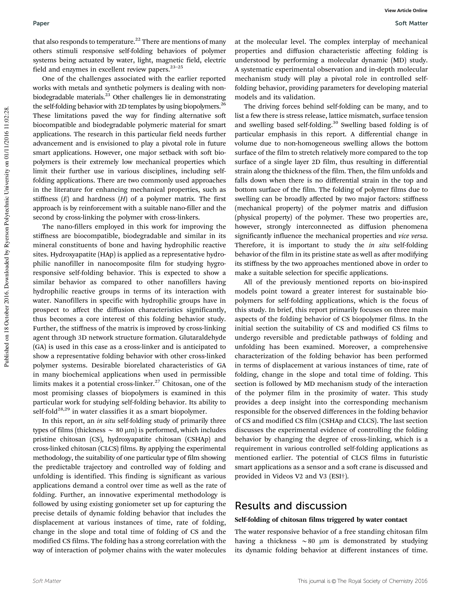that also responds to temperature.<sup>22</sup> There are mentions of many others stimuli responsive self-folding behaviors of polymer systems being actuated by water, light, magnetic field, electric field and enzymes in excellent review papers. $23-25$ 

One of the challenges associated with the earlier reported works with metals and synthetic polymers is dealing with nonbiodegradable materials.<sup>23</sup> Other challenges lie in demonstrating the self-folding behavior with 2D templates by using biopolymers.<sup>26</sup> These limitations paved the way for finding alternative soft biocompatible and biodegradable polymeric material for smart applications. The research in this particular field needs further advancement and is envisioned to play a pivotal role in future smart applications. However, one major setback with soft biopolymers is their extremely low mechanical properties which limit their further use in various disciplines, including selffolding applications. There are two commonly used approaches in the literature for enhancing mechanical properties, such as stiffness  $(E)$  and hardness  $(H)$  of a polymer matrix. The first approach is by reinforcement with a suitable nano-filler and the second by cross-linking the polymer with cross-linkers.

The nano-fillers employed in this work for improving the stiffness are biocompatible, biodegradable and similar in its mineral constituents of bone and having hydrophilic reactive sites. Hydroxyapatite (HAp) is applied as a representative hydrophilic nanofiller in nanocomposite film for studying hygroresponsive self-folding behavior. This is expected to show a similar behavior as compared to other nanofillers having hydrophilic reactive groups in terms of its interaction with water. Nanofillers in specific with hydrophilic groups have in prospect to affect the diffusion characteristics significantly, thus becomes a core interest of this folding behavior study. Further, the stiffness of the matrix is improved by cross-linking agent through 3D network structure formation. Glutaraldehyde (GA) is used in this case as a cross-linker and is anticipated to show a representative folding behavior with other cross-linked polymer systems. Desirable biorelated characteristics of GA in many biochemical applications when used in permissible limits makes it a potential cross-linker. $27$  Chitosan, one of the most promising classes of biopolymers is examined in this particular work for studying self-folding behavior. Its ability to self-fold<sup>28,29</sup> in water classifies it as a smart biopolymer.

In this report, an *in situ* self-folding study of primarily three types of films (thickness  $\sim 80 \,\mu m$ ) is performed, which includes pristine chitosan (CS), hydroxyapatite chitosan (CSHAp) and cross-linked chitosan (CLCS) films. By applying the experimental methodology, the suitability of one particular type of film showing the predictable trajectory and controlled way of folding and unfolding is identified. This finding is significant as various applications demand a control over time as well as the rate of folding. Further, an innovative experimental methodology is followed by using existing goniometer set up for capturing the precise details of dynamic folding behavior that includes the displacement at various instances of time, rate of folding, change in the slope and total time of folding of CS and the modified CS films. The folding has a strong correlation with the way of interaction of polymer chains with the water molecules

at the molecular level. The complex interplay of mechanical properties and diffusion characteristic affecting folding is understood by performing a molecular dynamic (MD) study. A systematic experimental observation and in-depth molecular mechanism study will play a pivotal role in controlled selffolding behavior, providing parameters for developing material models and its validation.

The driving forces behind self-folding can be many, and to list a few there is stress release, lattice mismatch, surface tension and swelling based self-folding.<sup>30</sup> Swelling based folding is of particular emphasis in this report. A differential change in volume due to non-homogeneous swelling allows the bottom surface of the film to stretch relatively more compared to the top surface of a single layer 2D film, thus resulting in differential strain along the thickness of the film. Then, the film unfolds and falls down when there is no differential strain in the top and bottom surface of the film. The folding of polymer films due to swelling can be broadly affected by two major factors: stiffness (mechanical property) of the polymer matrix and diffusion (physical property) of the polymer. These two properties are, however, strongly interconnected as diffusion phenomena significantly influence the mechanical properties and *vice versa*. Therefore, it is important to study the *in situ* self-folding behavior of the film in its pristine state as well as after modifying its stiffness by the two approaches mentioned above in order to make a suitable selection for specific applications.

All of the previously mentioned reports on bio-inspired models point toward a greater interest for sustainable biopolymers for self-folding applications, which is the focus of this study. In brief, this report primarily focuses on three main aspects of the folding behavior of CS biopolymer films. In the initial section the suitability of CS and modified CS films to undergo reversible and predictable pathways of folding and unfolding has been examined. Moreover, a comprehensive characterization of the folding behavior has been performed in terms of displacement at various instances of time, rate of folding, change in the slope and total time of folding. This section is followed by MD mechanism study of the interaction of the polymer film in the proximity of water. This study provides a deep insight into the corresponding mechanism responsible for the observed differences in the folding behavior of CS and modified CS film (CSHAp and CLCS). The last section discusses the experimental evidence of controlling the folding behavior by changing the degree of cross-linking, which is a requirement in various controlled self-folding applications as mentioned earlier. The potential of CLCS films in futuristic smart applications as a sensor and a soft crane is discussed and provided in Videos V2 and V3 (ESI†).

### Results and discussion

#### Self-folding of chitosan films triggered by water contact

The water responsive behavior of a free standing chitosan film having a thickness  $\sim 80$  µm is demonstrated by studying its dynamic folding behavior at different instances of time.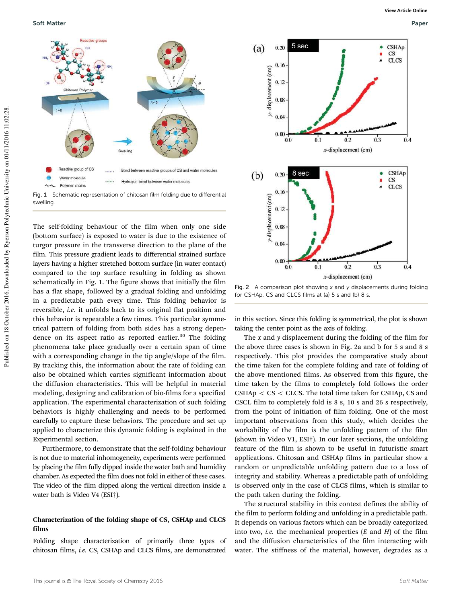

Fig. 1 Schematic representation of chitosan film folding due to differential swelling.

The self-folding behaviour of the film when only one side (bottom surface) is exposed to water is due to the existence of turgor pressure in the transverse direction to the plane of the film. This pressure gradient leads to differential strained surface layers having a higher stretched bottom surface (in water contact) compared to the top surface resulting in folding as shown schematically in Fig. 1. The figure shows that initially the film has a flat shape, followed by a gradual folding and unfolding in a predictable path every time. This folding behavior is reversible, *i.e.* it unfolds back to its original flat position and this behavior is repeatable a few times. This particular symmetrical pattern of folding from both sides has a strong dependence on its aspect ratio as reported earlier.<sup>30</sup> The folding phenomena take place gradually over a certain span of time with a corresponding change in the tip angle/slope of the film. By tracking this, the information about the rate of folding can also be obtained which carries significant information about the diffusion characteristics. This will be helpful in material modeling, designing and calibration of bio-films for a specified application. The experimental characterization of such folding behaviors is highly challenging and needs to be performed carefully to capture these behaviors. The procedure and set up applied to characterize this dynamic folding is explained in the Experimental section.

Furthermore, to demonstrate that the self-folding behaviour is not due to material inhomogeneity, experiments were performed by placing the film fully dipped inside the water bath and humidity chamber. As expected the film does not fold in either of these cases. The video of the film dipped along the vertical direction inside a water bath is Video V4 (ESI†).

#### Characterization of the folding shape of CS, CSHAp and CLCS films

Folding shape characterization of primarily three types of chitosan films, *i.e.* CS, CSHAp and CLCS films, are demonstrated



Fig. 2 A comparison plot showing  $x$  and  $y$  displacements during folding for CSHAp, CS and CLCS films at (a) 5 s and (b) 8 s.

in this section. Since this folding is symmetrical, the plot is shown taking the center point as the axis of folding.

The *x* and *y* displacement during the folding of the film for the above three cases is shown in Fig. 2a and b for 5 s and 8 s respectively. This plot provides the comparative study about the time taken for the complete folding and rate of folding of the above mentioned films. As observed from this figure, the time taken by the films to completely fold follows the order  $CSHAp < CS < CLCS$ . The total time taken for CSHAp, CS and CSCL film to completely fold is 8 s, 10 s and 26 s respectively, from the point of initiation of film folding. One of the most important observations from this study, which decides the workability of the film is the unfolding pattern of the film (shown in Video V1, ESI†). In our later sections, the unfolding feature of the film is shown to be useful in futuristic smart applications. Chitosan and CSHAp films in particular show a random or unpredictable unfolding pattern due to a loss of integrity and stability. Whereas a predictable path of unfolding is observed only in the case of CLCS films, which is similar to the path taken during the folding.

The structural stability in this context defines the ability of the film to perform folding and unfolding in a predictable path. It depends on various factors which can be broadly categorized into two, *i.e.* the mechanical properties (*E* and *H*) of the film and the diffusion characteristics of the film interacting with water. The stiffness of the material, however, degrades as a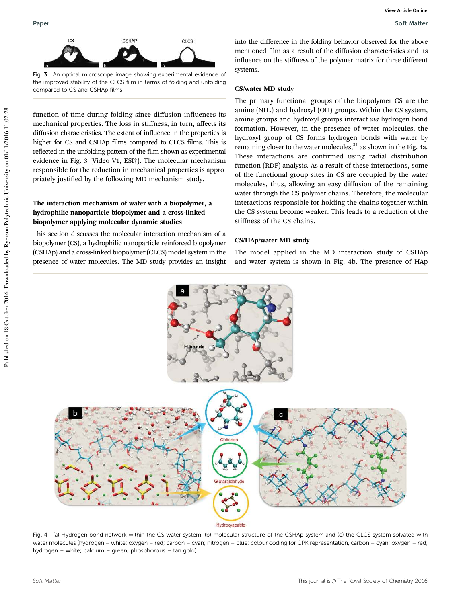

Fig. 3 An optical microscope image showing experimental evidence of the improved stability of the CLCS film in terms of folding and unfolding compared to CS and CSHAp films.

function of time during folding since diffusion influences its mechanical properties. The loss in stiffness, in turn, affects its diffusion characteristics. The extent of influence in the properties is higher for CS and CSHAp films compared to CLCS films. This is reflected in the unfolding pattern of the film shown as experimental evidence in Fig. 3 (Video V1, ESI†). The molecular mechanism responsible for the reduction in mechanical properties is appropriately justified by the following MD mechanism study.

#### The interaction mechanism of water with a biopolymer, a hydrophilic nanoparticle biopolymer and a cross-linked biopolymer applying molecular dynamic studies

This section discusses the molecular interaction mechanism of a biopolymer (CS), a hydrophilic nanoparticle reinforced biopolymer (CSHAp) and a cross-linked biopolymer (CLCS) model system in the presence of water molecules. The MD study provides an insight into the difference in the folding behavior observed for the above mentioned film as a result of the diffusion characteristics and its influence on the stiffness of the polymer matrix for three different systems.

#### CS/water MD study

The primary functional groups of the biopolymer CS are the amine  $(NH<sub>2</sub>)$  and hydroxyl  $(OH)$  groups. Within the CS system, amine groups and hydroxyl groups interact *via* hydrogen bond formation. However, in the presence of water molecules, the hydroxyl group of CS forms hydrogen bonds with water by remaining closer to the water molecules, $31$  as shown in the Fig. 4a. These interactions are confirmed using radial distribution function (RDF) analysis. As a result of these interactions, some of the functional group sites in CS are occupied by the water molecules, thus, allowing an easy diffusion of the remaining water through the CS polymer chains. Therefore, the molecular interactions responsible for holding the chains together within the CS system become weaker. This leads to a reduction of the stiffness of the CS chains.

#### CS/HAp/water MD study

The model applied in the MD interaction study of CSHAp and water system is shown in Fig. 4b. The presence of HAp



Fig. 4 (a) Hydrogen bond network within the CS water system, (b) molecular structure of the CSHAp system and (c) the CLCS system solvated with water molecules (hydrogen – white; oxygen – red; carbon – cyan; nitrogen – blue; colour coding for CPK representation, carbon – cyan; oxygen – red; hydrogen – white; calcium – green; phosphorous – tan gold).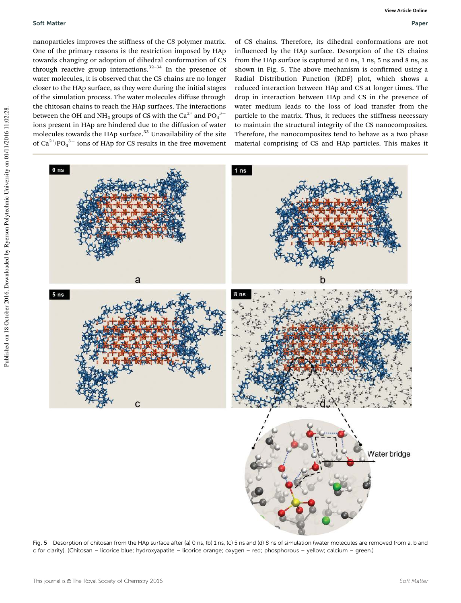nanoparticles improves the stiffness of the CS polymer matrix. One of the primary reasons is the restriction imposed by HAp towards changing or adoption of dihedral conformation of CS through reactive group interactions. $32-34$  In the presence of water molecules, it is observed that the CS chains are no longer closer to the HAp surface, as they were during the initial stages of the simulation process. The water molecules diffuse through the chitosan chains to reach the HAp surfaces. The interactions between the OH and NH<sub>2</sub> groups of CS with the Ca<sup>2+</sup> and PO<sub>4</sub><sup>3-</sup> ions present in HAp are hindered due to the diffusion of water molecules towards the HAp surface.<sup>33</sup> Unavailability of the site of  $Ca^{2+}/PO_4^{3-}$  ions of HAp for CS results in the free movement

of CS chains. Therefore, its dihedral conformations are not influenced by the HAp surface. Desorption of the CS chains from the HAp surface is captured at 0 ns, 1 ns, 5 ns and 8 ns, as shown in Fig. 5. The above mechanism is confirmed using a Radial Distribution Function (RDF) plot, which shows a reduced interaction between HAp and CS at longer times. The drop in interaction between HAp and CS in the presence of water medium leads to the loss of load transfer from the particle to the matrix. Thus, it reduces the stiffness necessary to maintain the structural integrity of the CS nanocomposites. Therefore, the nanocomposites tend to behave as a two phase material comprising of CS and HAp particles. This makes it



Fig. 5 Desorption of chitosan from the HAp surface after (a) 0 ns, (b) 1 ns, (c) 5 ns and (d) 8 ns of simulation (water molecules are removed from a, b and c for clarity). (Chitosan – licorice blue; hydroxyapatite – licorice orange; oxygen – red; phosphorous – yellow; calcium – green.)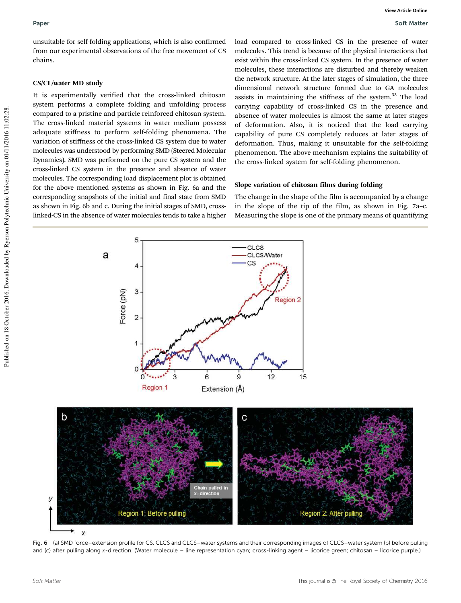unsuitable for self-folding applications, which is also confirmed from our experimental observations of the free movement of CS chains.

#### CS/CL/water MD study

It is experimentally verified that the cross-linked chitosan system performs a complete folding and unfolding process compared to a pristine and particle reinforced chitosan system. The cross-linked material systems in water medium possess adequate stiffness to perform self-folding phenomena. The variation of stiffness of the cross-linked CS system due to water molecules was understood by performing SMD (Steered Molecular Dynamics). SMD was performed on the pure CS system and the cross-linked CS system in the presence and absence of water molecules. The corresponding load displacement plot is obtained for the above mentioned systems as shown in Fig. 6a and the corresponding snapshots of the initial and final state from SMD as shown in Fig. 6b and c. During the initial stages of SMD, crosslinked-CS in the absence of water molecules tends to take a higher load compared to cross-linked CS in the presence of water molecules. This trend is because of the physical interactions that exist within the cross-linked CS system. In the presence of water molecules, these interactions are disturbed and thereby weaken the network structure. At the later stages of simulation, the three dimensional network structure formed due to GA molecules assists in maintaining the stiffness of the system. $33$  The load carrying capability of cross-linked CS in the presence and absence of water molecules is almost the same at later stages of deformation. Also, it is noticed that the load carrying capability of pure CS completely reduces at later stages of deformation. Thus, making it unsuitable for the self-folding phenomenon. The above mechanism explains the suitability of the cross-linked system for self-folding phenomenon.

### Slope variation of chitosan films during folding

The change in the shape of the film is accompanied by a change in the slope of the tip of the film, as shown in Fig. 7a–c. Measuring the slope is one of the primary means of quantifying



Fig. 6 (a) SMD force–extension profile for CS, CLCS and CLCS–water systems and their corresponding images of CLCS–water system (b) before pulling and (c) after pulling along x-direction. (Water molecule – line representation cyan; cross-linking agent – licorice green; chitosan – licorice purple.)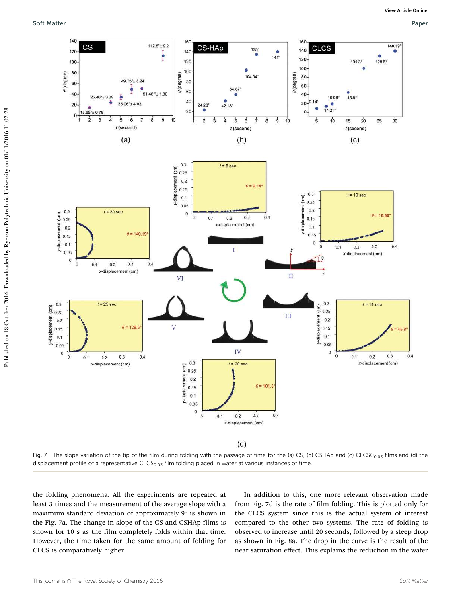

Fig. 7 The slope variation of the tip of the film during folding with the passage of time for the (a) CS, (b) CSHAp and (c)  $CLCS0<sub>0.03</sub>$  films and (d) the displacement profile of a representative CLCS<sub>0.03</sub> film folding placed in water at various instances of time.

the folding phenomena. All the experiments are repeated at least 3 times and the measurement of the average slope with a maximum standard deviation of approximately  $9^\circ$  is shown in the Fig. 7a. The change in slope of the CS and CSHAp films is shown for 10 s as the film completely folds within that time. However, the time taken for the same amount of folding for CLCS is comparatively higher.

In addition to this, one more relevant observation made from Fig. 7d is the rate of film folding. This is plotted only for the CLCS system since this is the actual system of interest compared to the other two systems. The rate of folding is observed to increase until 20 seconds, followed by a steep drop as shown in Fig. 8a. The drop in the curve is the result of the near saturation effect. This explains the reduction in the water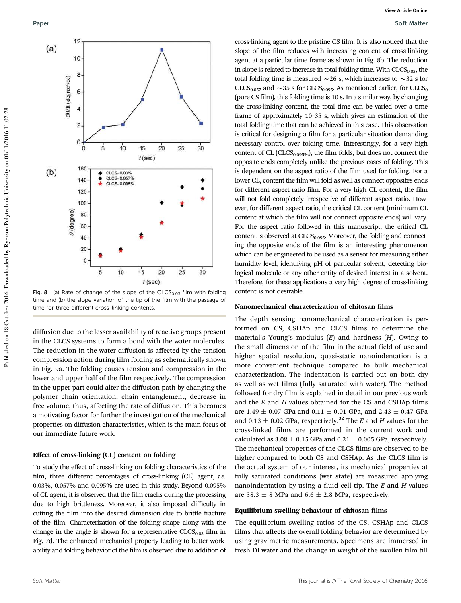

Fig. 8 (a) Rate of change of the slope of the  $CLCS<sub>0.03</sub>$  film with folding time and (b) the slope variation of the tip of the film with the passage of time for three different cross-linking contents.

diffusion due to the lesser availability of reactive groups present in the CLCS systems to form a bond with the water molecules. The reduction in the water diffusion is affected by the tension compression action during film folding as schematically shown in Fig. 9a. The folding causes tension and compression in the lower and upper half of the film respectively. The compression in the upper part could alter the diffusion path by changing the polymer chain orientation, chain entanglement, decrease in free volume, thus, affecting the rate of diffusion. This becomes a motivating factor for further the investigation of the mechanical properties on diffusion characteristics, which is the main focus of our immediate future work.

#### Effect of cross-linking (CL) content on folding

To study the effect of cross-linking on folding characteristics of the film, three different percentages of cross-linking (CL) agent, *i.e.* 0.03%, 0.057% and 0.095% are used in this study. Beyond 0.095% of CL agent, it is observed that the film cracks during the processing due to high brittleness. Moreover, it also imposed difficulty in cutting the film into the desired dimension due to brittle fracture of the film. Characterization of the folding shape along with the change in the angle is shown for a representative  $CLCS<sub>0.03</sub>$  film in Fig. 7d. The enhanced mechanical property leading to better workability and folding behavior of the film is observed due to addition of

cross-linking agent to the pristine CS film. It is also noticed that the slope of the film reduces with increasing content of cross-linking agent at a particular time frame as shown in Fig. 8b. The reduction in slope is related to increase in total folding time. With  $CLCS<sub>0.03</sub>$ , the total folding time is measured  $\sim$  26 s, which increases to  $\sim$  32 s for  $CLCS<sub>0.057</sub>$  and  $\sim$ 35 s for CLCS<sub>0.095</sub>. As mentioned earlier, for CLCS<sub>0</sub> (pure CS film), this folding time is 10 s. In a similar way, by changing the cross-linking content, the total time can be varied over a time frame of approximately 10–35 s, which gives an estimation of the total folding time that can be achieved in this case. This observation is critical for designing a film for a particular situation demanding necessary control over folding time. Interestingly, for a very high content of CL ( $CLCS_{0.095\%}$ ), the film folds, but does not connect the opposite ends completely unlike the previous cases of folding. This is dependent on the aspect ratio of the film used for folding. For a lower CL, content the film will fold as well as connect opposites ends for different aspect ratio film. For a very high CL content, the film will not fold completely irrespective of different aspect ratio. However, for different aspect ratio, the critical CL content (minimum CL content at which the film will not connect opposite ends) will vary. For the aspect ratio followed in this manuscript, the critical CL content is observed at  $CLCS<sub>0.095</sub>$ . Moreover, the folding and connecting the opposite ends of the film is an interesting phenomenon which can be engineered to be used as a sensor for measuring either humidity level, identifying pH of particular solvent, detecting biological molecule or any other entity of desired interest in a solvent. Therefore, for these applications a very high degree of cross-linking content is not desirable.

#### Nanomechanical characterization of chitosan films

The depth sensing nanomechanical characterization is performed on CS, CSHAp and CLCS films to determine the material's Young's modulus (*E*) and hardness (*H*). Owing to the small dimension of the film in the actual field of use and higher spatial resolution, quasi-static nanoindentation is a more convenient technique compared to bulk mechanical characterization. The indentation is carried out on both dry as well as wet films (fully saturated with water). The method followed for dry film is explained in detail in our previous work and the *E* and *H* values obtained for the CS and CSHAp films are 1.49  $\pm$  0.07 GPa and 0.11  $\pm$  0.01 GPa, and 2.43  $\pm$  0.47 GPa and 0.13  $\pm$  0.02 GPa, respectively.<sup>32</sup> The *E* and *H* values for the cross-linked films are performed in the current work and calculated as  $3.08 \pm 0.15$  GPa and  $0.21 \pm 0.005$  GPa, respectively. The mechanical properties of the CLCS films are observed to be higher compared to both CS and CSHAp. As the CLCS film is the actual system of our interest, its mechanical properties at fully saturated conditions (wet state) are measured applying nanoindentation by using a fluid cell tip. The *E* and *H* values are 38.3  $\pm$  8 MPa and 6.6  $\pm$  2.8 MPa, respectively.

#### Equilibrium swelling behaviour of chitosan films

The equilibrium swelling ratios of the CS, CSHAp and CLCS films that affects the overall folding behavior are determined by using gravimetric measurements. Specimens are immersed in fresh DI water and the change in weight of the swollen film till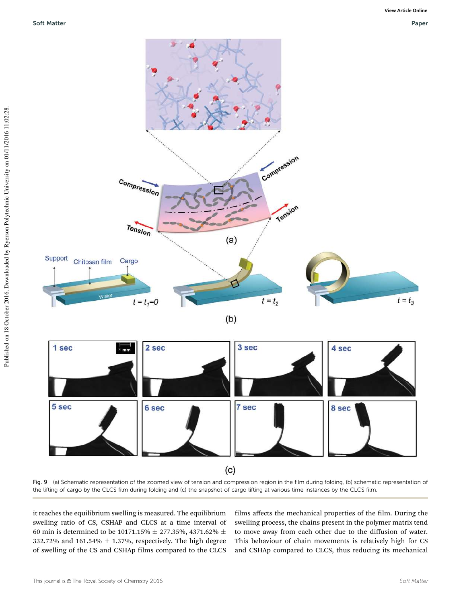



Fig. 9 (a) Schematic representation of the zoomed view of tension and compression region in the film during folding, (b) schematic representation of the lifting of cargo by the CLCS film during folding and (c) the snapshot of cargo lifting at various time instances by the CLCS film.

it reaches the equilibrium swelling is measured. The equilibrium swelling ratio of CS, CSHAP and CLCS at a time interval of 60 min is determined to be 10171.15%  $\pm$  277.35%, 4371.62%  $\pm$ 332.72% and 161.54%  $\pm$  1.37%, respectively. The high degree of swelling of the CS and CSHAp films compared to the CLCS films affects the mechanical properties of the film. During the swelling process, the chains present in the polymer matrix tend to move away from each other due to the diffusion of water. This behaviour of chain movements is relatively high for CS and CSHAp compared to CLCS, thus reducing its mechanical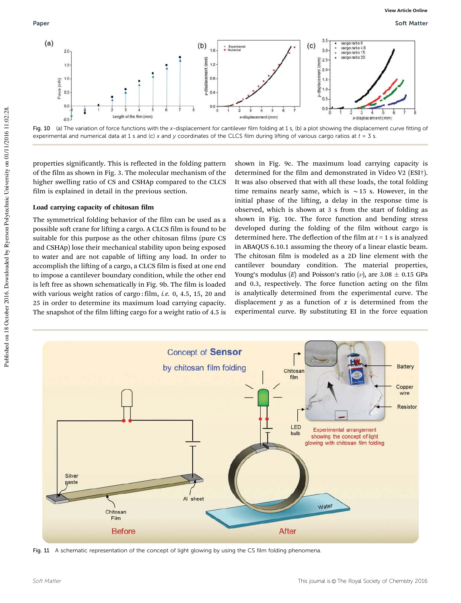

Fig. 10 (a) The variation of force functions with the x-displacement for cantilever film folding at 1 s, (b) a plot showing the displacement curve fitting of experimental and numerical data at 1 s and (c) x and y coordinates of the CLCS film during lifting of various cargo ratios at  $t = 3$  s.

properties significantly. This is reflected in the folding pattern of the film as shown in Fig. 3. The molecular mechanism of the higher swelling ratio of CS and CSHAp compared to the CLCS film is explained in detail in the previous section.

#### Load carrying capacity of chitosan film

The symmetrical folding behavior of the film can be used as a possible soft crane for lifting a cargo. A CLCS film is found to be suitable for this purpose as the other chitosan films (pure CS and CSHAp) lose their mechanical stability upon being exposed to water and are not capable of lifting any load. In order to accomplish the lifting of a cargo, a CLCS film is fixed at one end to impose a cantilever boundary condition, while the other end is left free as shown schematically in Fig. 9b. The film is loaded with various weight ratios of cargo : film, *i.e.* 0, 4.5, 15, 20 and 25 in order to determine its maximum load carrying capacity. The snapshot of the film lifting cargo for a weight ratio of 4.5 is

shown in Fig. 9c. The maximum load carrying capacity is determined for the film and demonstrated in Video V2 (ESI†). It was also observed that with all these loads, the total folding time remains nearly same, which is  $\sim$  15 s. However, in the initial phase of the lifting, a delay in the response time is observed, which is shown at 3 s from the start of folding as shown in Fig. 10c. The force function and bending stress developed during the folding of the film without cargo is determined here. The deflection of the film at *t* = 1 s is analyzed in ABAQUS 6.10.1 assuming the theory of a linear elastic beam. The chitosan film is modeled as a 2D line element with the cantilever boundary condition. The material properties, Young's modulus (*E*) and Poisson's ratio ( $\nu$ ), are 3.08  $\pm$  0.15 GPa and 0.3, respectively. The force function acting on the film is analytically determined from the experimental curve. The displacement  $\gamma$  as a function of  $x$  is determined from the experimental curve. By substituting EI in the force equation



Fig. 11 A schematic representation of the concept of light glowing by using the CS film folding phenomena.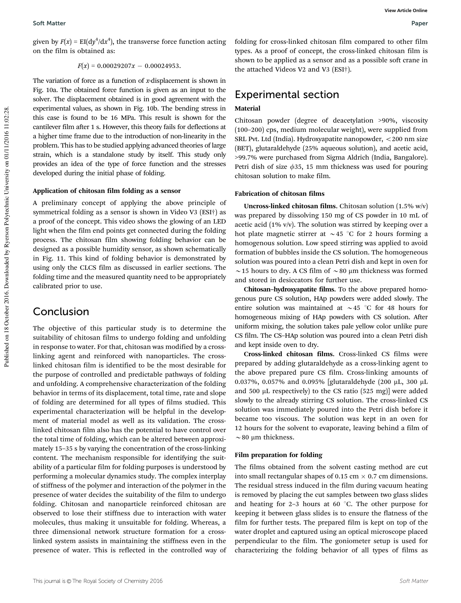given by  $F(x) = \mathrm{EI}(\mathrm{d}y^4/\mathrm{d}x^4)$ , the transverse force function acting on the film is obtained as:

$$
F(x) = 0.00029207x - 0.00024953.
$$

The variation of force as a function of *x*-displacement is shown in Fig. 10a. The obtained force function is given as an input to the solver. The displacement obtained is in good agreement with the experimental values, as shown in Fig. 10b. The bending stress in this case is found to be 16 MPa. This result is shown for the cantilever film after 1 s. However, this theory fails for deflections at a higher time frame due to the introduction of non-linearity in the problem. This has to be studied applying advanced theories of large strain, which is a standalone study by itself. This study only provides an idea of the type of force function and the stresses developed during the initial phase of folding.

#### Application of chitosan film folding as a sensor

A preliminary concept of applying the above principle of symmetrical folding as a sensor is shown in Video V3 (ESI†) as a proof of the concept. This video shows the glowing of an LED light when the film end points get connected during the folding process. The chitosan film showing folding behavior can be designed as a possible humidity sensor, as shown schematically in Fig. 11. This kind of folding behavior is demonstrated by using only the CLCS film as discussed in earlier sections. The folding time and the measured quantity need to be appropriately calibrated prior to use.

### Conclusion

The objective of this particular study is to determine the suitability of chitosan films to undergo folding and unfolding in response to water. For that, chitosan was modified by a crosslinking agent and reinforced with nanoparticles. The crosslinked chitosan film is identified to be the most desirable for the purpose of controlled and predictable pathways of folding and unfolding. A comprehensive characterization of the folding behavior in terms of its displacement, total time, rate and slope of folding are determined for all types of films studied. This experimental characterization will be helpful in the development of material model as well as its validation. The crosslinked chitosan film also has the potential to have control over the total time of folding, which can be altered between approximately 15–35 s by varying the concentration of the cross-linking content. The mechanism responsible for identifying the suitability of a particular film for folding purposes is understood by performing a molecular dynamics study. The complex interplay of stiffness of the polymer and interaction of the polymer in the presence of water decides the suitability of the film to undergo folding. Chitosan and nanoparticle reinforced chitosan are observed to lose their stiffness due to interaction with water molecules, thus making it unsuitable for folding. Whereas, a three dimensional network structure formation for a crosslinked system assists in maintaining the stiffness even in the presence of water. This is reflected in the controlled way of folding for cross-linked chitosan film compared to other film types. As a proof of concept, the cross-linked chitosan film is shown to be applied as a sensor and as a possible soft crane in the attached Videos V2 and V3 (ESI†).

### Experimental section

#### Material

Chitosan powder (degree of deacetylation >90%, viscosity (100–200) cps, medium molecular weight), were supplied from SRL Pvt. Ltd (India). Hydroxyapatite nanopowder,  $<$  200 nm size (BET), glutaraldehyde (25% aqueous solution), and acetic acid, >99.7% were purchased from Sigma Aldrich (India, Bangalore). Petri dish of size  $\phi$ 35, 15 mm thickness was used for pouring chitosan solution to make film.

#### Fabrication of chitosan films

Uncross-linked chitosan films. Chitosan solution (1.5% w/v) was prepared by dissolving 150 mg of CS powder in 10 mL of acetic acid (1% v/v). The solution was stirred by keeping over a hot plate magnetic stirrer at  $\sim$  45 °C for 2 hours forming a homogenous solution. Low speed stirring was applied to avoid formation of bubbles inside the CS solution. The homogeneous solution was poured into a clean Petri dish and kept in oven for  $\sim$  15 hours to dry. A CS film of  $\sim$  80 µm thickness was formed and stored in desiccators for further use.

Chitosan–hydroxyapatite films. To the above prepared homogenous pure CS solution, HAp powders were added slowly. The entire solution was maintained at  $\sim$  45 °C for 48 hours for homogeneous mixing of HAp powders with CS solution. After uniform mixing, the solution takes pale yellow color unlike pure CS film. The CS–HAp solution was poured into a clean Petri dish and kept inside oven to dry.

Cross-linked chitosan films. Cross-linked CS films were prepared by adding glutaraldehyde as a cross-linking agent to the above prepared pure CS film. Cross-linking amounts of 0.037%, 0.057% and 0.095% [glutaraldehyde (200 mL, 300 mL and 500  $\mu$ L respectively) to the CS ratio (525 mg)] were added slowly to the already stirring CS solution. The cross-linked CS solution was immediately poured into the Petri dish before it became too viscous. The solution was kept in an oven for 12 hours for the solvent to evaporate, leaving behind a film of  $\sim$  80 µm thickness.

#### Film preparation for folding

The films obtained from the solvent casting method are cut into small rectangular shapes of 0.15 cm  $\times$  0.7 cm dimensions. The residual stress induced in the film during vacuum heating is removed by placing the cut samples between two glass slides and heating for 2–3 hours at 60 $\degree$ C. The other purpose for keeping it between glass slides is to ensure the flatness of the film for further tests. The prepared film is kept on top of the water droplet and captured using an optical microscope placed perpendicular to the film. The goniometer setup is used for characterizing the folding behavior of all types of films as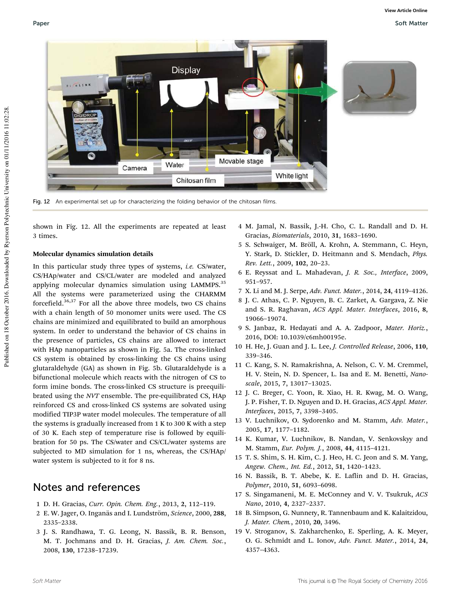

Fig. 12 An experimental set up for characterizing the folding behavior of the chitosan films.

shown in Fig. 12. All the experiments are repeated at least 3 times.

#### Molecular dynamics simulation details

In this particular study three types of systems, *i.e.* CS/water, CS/HAp/water and CS/CL/water are modeled and analyzed applying molecular dynamics simulation using LAMMPS.<sup>35</sup> All the systems were parameterized using the CHARMM forcefield.36,37 For all the above three models, two CS chains with a chain length of 50 monomer units were used. The CS chains are minimized and equilibrated to build an amorphous system. In order to understand the behavior of CS chains in the presence of particles, CS chains are allowed to interact with HAp nanoparticles as shown in Fig. 5a. The cross-linked CS system is obtained by cross-linking the CS chains using glutaraldehyde (GA) as shown in Fig. 5b. Glutaraldehyde is a bifunctional molecule which reacts with the nitrogen of CS to form imine bonds. The cross-linked CS structure is preequilibrated using the *NVT* ensemble. The pre-equilibrated CS, HAp reinforced CS and cross-linked CS systems are solvated using modified TIP3P water model molecules. The temperature of all the systems is gradually increased from 1 K to 300 K with a step of 30 K. Each step of temperature rise is followed by equilibration for 50 ps. The CS/water and CS/CL/water systems are subjected to MD simulation for 1 ns, whereas, the CS/HAp/ water system is subjected to it for 8 ns.

### Notes and references

- 1 D. H. Gracias, *Curr. Opin. Chem. Eng.*, 2013, 2, 112–119.
- 2 E. W. Jager, O. Inganäs and I. Lundström, *Science*, 2000, 288, 2335–2338.
- 3 J. S. Randhawa, T. G. Leong, N. Bassik, B. R. Benson, M. T. Jochmans and D. H. Gracias, *J. Am. Chem. Soc.*, 2008, 130, 17238–17239.
- 4 M. Jamal, N. Bassik, J.-H. Cho, C. L. Randall and D. H. Gracias, *Biomaterials*, 2010, 31, 1683–1690.
- 5 S. Schwaiger, M. Bröll, A. Krohn, A. Stemmann, C. Heyn, Y. Stark, D. Stickler, D. Heitmann and S. Mendach, *Phys. Rev. Lett.*, 2009, 102, 20–23.
- 6 E. Reyssat and L. Mahadevan, *J. R. Soc., Interface*, 2009, 951–957.
- 7 X. Li and M. J. Serpe, *Adv. Funct. Mater.*, 2014, 24, 4119–4126.
- 8 J. C. Athas, C. P. Nguyen, B. C. Zarket, A. Gargava, Z. Nie and S. R. Raghavan, *ACS Appl. Mater. Interfaces*, 2016, 8, 19066–19074.
- 9 S. Janbaz, R. Hedayati and A. A. Zadpoor, *Mater. Horiz.*, 2016, DOI: 10.1039/c6mh00195e.
- 10 H. He, J. Guan and J. L. Lee, *J. Controlled Release*, 2006, 110, 339–346.
- 11 C. Kang, S. N. Ramakrishna, A. Nelson, C. V. M. Cremmel, H. V. Stein, N. D. Spencer, L. Isa and E. M. Benetti, *Nanoscale*, 2015, 7, 13017–13025.
- 12 J. C. Breger, C. Yoon, R. Xiao, H. R. Kwag, M. O. Wang, J. P. Fisher, T. D. Nguyen and D. H. Gracias, *ACS Appl. Mater. Interfaces*, 2015, 7, 3398–3405.
- 13 V. Luchnikov, O. Sydorenko and M. Stamm, *Adv. Mater.*, 2005, 17, 1177–1182.
- 14 K. Kumar, V. Luchnikov, B. Nandan, V. Senkovskyy and M. Stamm, *Eur. Polym. J.*, 2008, 44, 4115–4121.
- 15 T. S. Shim, S. H. Kim, C. J. Heo, H. C. Jeon and S. M. Yang, *Angew. Chem., Int. Ed.*, 2012, 51, 1420–1423.
- 16 N. Bassik, B. T. Abebe, K. E. Laflin and D. H. Gracias, *Polymer*, 2010, 51, 6093–6098.
- 17 S. Singamaneni, M. E. McConney and V. V. Tsukruk, *ACS Nano*, 2010, 4, 2327–2337.
- 18 B. Simpson, G. Nunnery, R. Tannenbaum and K. Kalaitzidou, *J. Mater. Chem.*, 2010, 20, 3496.
- 19 V. Stroganov, S. Zakharchenko, E. Sperling, A. K. Meyer, O. G. Schmidt and L. Ionov, *Adv. Funct. Mater.*, 2014, 24, 4357–4363.